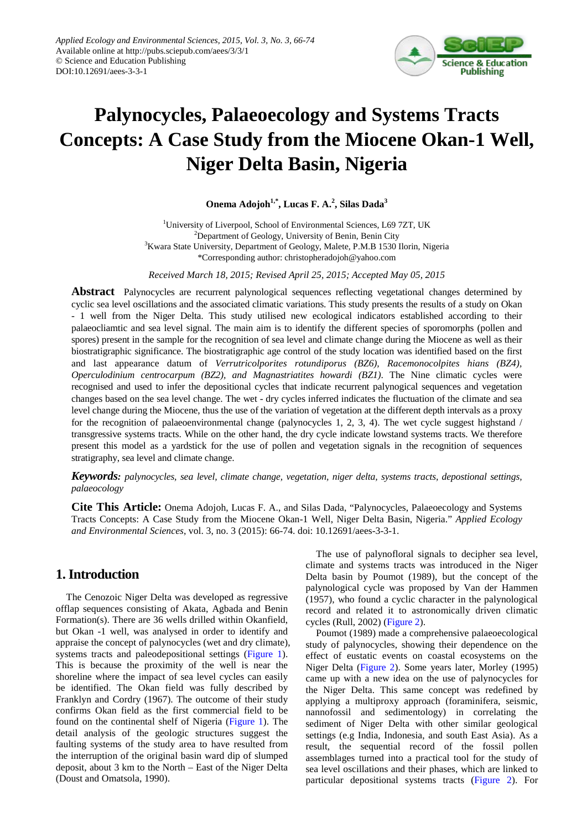

# **Palynocycles, Palaeoecology and Systems Tracts Concepts: A Case Study from the Miocene Okan-1 Well, Niger Delta Basin, Nigeria**

**Onema Adojoh1,\*, Lucas F. A.2 , Silas Dada<sup>3</sup>**

<sup>1</sup>University of Liverpool, School of Environmental Sciences, L69 7ZT, UK <sup>2</sup>Department of Geology, University of Benin, Benin City <sup>3</sup> Kwara State University, Department of Geology, Malete, P.M.B 1530 Ilorin, Nigeria \*Corresponding author: christopheradojoh@yahoo.com

*Received March 18, 2015; Revised April 25, 2015; Accepted May 05, 2015*

**Abstract** Palynocycles are recurrent palynological sequences reflecting vegetational changes determined by cyclic sea level oscillations and the associated climatic variations. This study presents the results of a study on Okan - 1 well from the Niger Delta. This study utilised new ecological indicators established according to their palaeocliamtic and sea level signal. The main aim is to identify the different species of sporomorphs (pollen and spores) present in the sample for the recognition of sea level and climate change during the Miocene as well as their biostratigraphic significance. The biostratigraphic age control of the study location was identified based on the first and last appearance datum of *Verrutricolporites rotundiporus (BZ6), Racemonocolpites hians (BZ4), Operculodinium centrocarpum (BZ2), and Magnastriatites howardi (BZ1)*. The Nine climatic cycles were recognised and used to infer the depositional cycles that indicate recurrent palynogical sequences and vegetation changes based on the sea level change. The wet - dry cycles inferred indicates the fluctuation of the climate and sea level change during the Miocene, thus the use of the variation of vegetation at the different depth intervals as a proxy for the recognition of palaeoenvironmental change (palynocycles 1, 2, 3, 4). The wet cycle suggest highstand / transgressive systems tracts. While on the other hand, the dry cycle indicate lowstand systems tracts. We therefore present this model as a yardstick for the use of pollen and vegetation signals in the recognition of sequences stratigraphy, sea level and climate change.

*Keywords: palynocycles, sea level, climate change, vegetation, niger delta, systems tracts, depostional settings, palaeocology*

**Cite This Article:** Onema Adojoh, Lucas F. A., and Silas Dada, "Palynocycles, Palaeoecology and Systems Tracts Concepts: A Case Study from the Miocene Okan-1 Well, Niger Delta Basin, Nigeria." *Applied Ecology and Environmental Sciences*, vol. 3, no. 3 (2015): 66-74. doi: 10.12691/aees-3-3-1.

# **1. Introduction**

The Cenozoic Niger Delta was developed as regressive offlap sequences consisting of Akata, Agbada and Benin Formation(s). There are 36 wells drilled within Okanfield, but Okan -1 well, was analysed in order to identify and appraise the concept of palynocycles (wet and dry climate), systems tracts and paleodepositional settings [\(Figure 1\)](#page-1-0). This is because the proximity of the well is near the shoreline where the impact of sea level cycles can easily be identified. The Okan field was fully described by Franklyn and Cordry (1967). The outcome of their study confirms Okan field as the first commercial field to be found on the continental shelf of Nigeria [\(Figure 1\)](#page-1-0). The detail analysis of the geologic structures suggest the faulting systems of the study area to have resulted from the interruption of the original basin ward dip of slumped deposit, about 3 km to the North – East of the Niger Delta (Doust and Omatsola, 1990).

The use of palynofloral signals to decipher sea level, climate and systems tracts was introduced in the Niger Delta basin by Poumot (1989), but the concept of the palynological cycle was proposed by Van der Hammen (1957), who found a cyclic character in the palynological record and related it to astronomically driven climatic cycles (Rull, 2002) [\(Figure 2\)](#page-2-0).

Poumot (1989) made a comprehensive palaeoecological study of palynocycles, showing their dependence on the effect of eustatic events on coastal ecosystems on the Niger Delta [\(Figure 2\)](#page-2-0). Some years later, Morley (1995) came up with a new idea on the use of palynocycles for the Niger Delta. This same concept was redefined by applying a multiproxy approach (foraminifera, seismic, nannofossil and sedimentology) in correlating the sediment of Niger Delta with other similar geological settings (e.g India, Indonesia, and south East Asia). As a result, the sequential record of the fossil pollen assemblages turned into a practical tool for the study of sea level oscillations and their phases, which are linked to particular depositional systems tracts [\(Figure 2\)](#page-2-0). For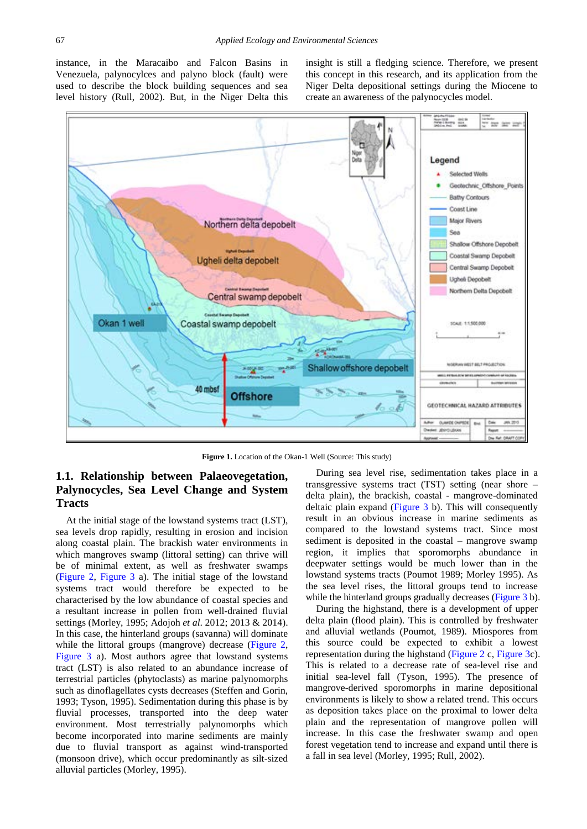instance, in the Maracaibo and Falcon Basins in Venezuela, palynocylces and palyno block (fault) were used to describe the block building sequences and sea level history (Rull, 2002). But, in the Niger Delta this

insight is still a fledging science. Therefore, we present this concept in this research, and its application from the Niger Delta depositional settings during the Miocene to create an awareness of the palynocycles model.

<span id="page-1-0"></span>

**Figure 1.** Location of the Okan-1 Well (Source: This study)

# **1.1. Relationship between Palaeovegetation, Palynocycles, Sea Level Change and System Tracts**

At the initial stage of the lowstand systems tract (LST), sea levels drop rapidly, resulting in erosion and incision along coastal plain. The brackish water environments in which mangroves swamp (littoral setting) can thrive will be of minimal extent, as well as freshwater swamps [\(Figure 2,](#page-2-0) [Figure 3](#page-2-1) a). The initial stage of the lowstand systems tract would therefore be expected to be characterised by the low abundance of coastal species and a resultant increase in pollen from well-drained fluvial settings (Morley, 1995; Adojoh *et al*. 2012; 2013 & 2014). In this case, the hinterland groups (savanna) will dominate while the littoral groups (mangrove) decrease [\(Figure 2,](#page-2-0) [Figure 3](#page-2-1) a). Most authors agree that lowstand systems tract (LST) is also related to an abundance increase of terrestrial particles (phytoclasts) as marine palynomorphs such as dinoflagellates cysts decreases (Steffen and Gorin, 1993; Tyson, 1995). Sedimentation during this phase is by fluvial processes, transported into the deep water environment. Most terrestrially palynomorphs which become incorporated into marine sediments are mainly due to fluvial transport as against wind-transported (monsoon drive), which occur predominantly as silt-sized alluvial particles (Morley, 1995).

During sea level rise, sedimentation takes place in a transgressive systems tract (TST) setting (near shore – delta plain), the brackish, coastal - mangrove-dominated deltaic plain expand [\(Figure 3](#page-2-1) b). This will consequently result in an obvious increase in marine sediments as compared to the lowstand systems tract. Since most sediment is deposited in the coastal – mangrove swamp region, it implies that sporomorphs abundance in deepwater settings would be much lower than in the lowstand systems tracts (Poumot 1989; Morley 1995). As the sea level rises, the littoral groups tend to increase while the hinterland groups gradually decreases [\(Figure 3](#page-2-1) b).

During the highstand, there is a development of upper delta plain (flood plain). This is controlled by freshwater and alluvial wetlands (Poumot, 1989). Miospores from this source could be expected to exhibit a lowest representation during the highstand [\(Figure 2](#page-2-0) c, [Figure 3c](#page-2-1)). This is related to a decrease rate of sea-level rise and initial sea-level fall (Tyson, 1995). The presence of mangrove-derived sporomorphs in marine depositional environments is likely to show a related trend. This occurs as deposition takes place on the proximal to lower delta plain and the representation of mangrove pollen will increase. In this case the freshwater swamp and open forest vegetation tend to increase and expand until there is a fall in sea level (Morley, 1995; Rull, 2002).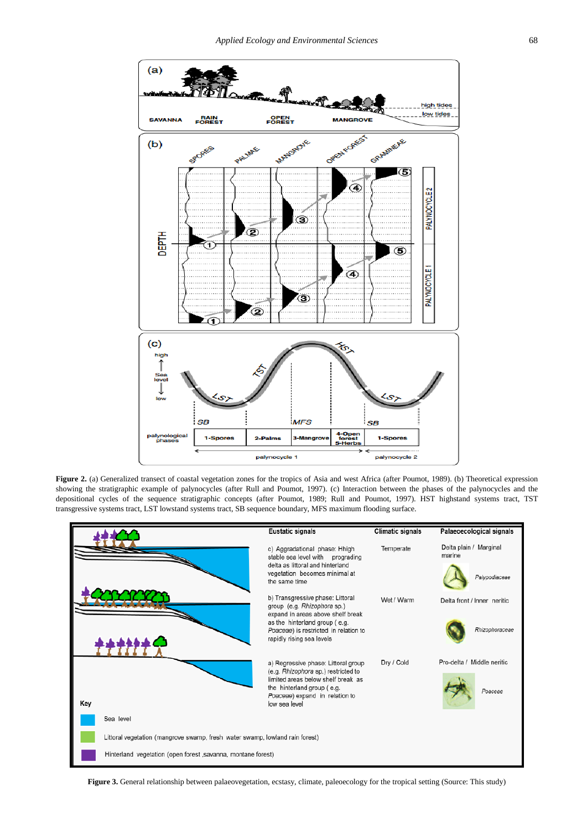<span id="page-2-0"></span>

**Figure 2.** (a) Generalized transect of coastal vegetation zones for the tropics of Asia and west Africa (after Poumot, 1989). (b) Theoretical expression showing the stratigraphic example of palynocycles (after Rull and Poumot, 1997). (c) Interaction between the phases of the palynocycles and the depositional cycles of the sequence stratigraphic concepts (after Poumot, 1989; Rull and Poumot, 1997). HST highstand systems tract, TST transgressive systems tract, LST lowstand systems tract, SB sequence boundary, MFS maximum flooding surface.

<span id="page-2-1"></span>

Figure 3. General relationship between palaeovegetation, ecstasy, climate, paleoecology for the tropical setting (Source: This study)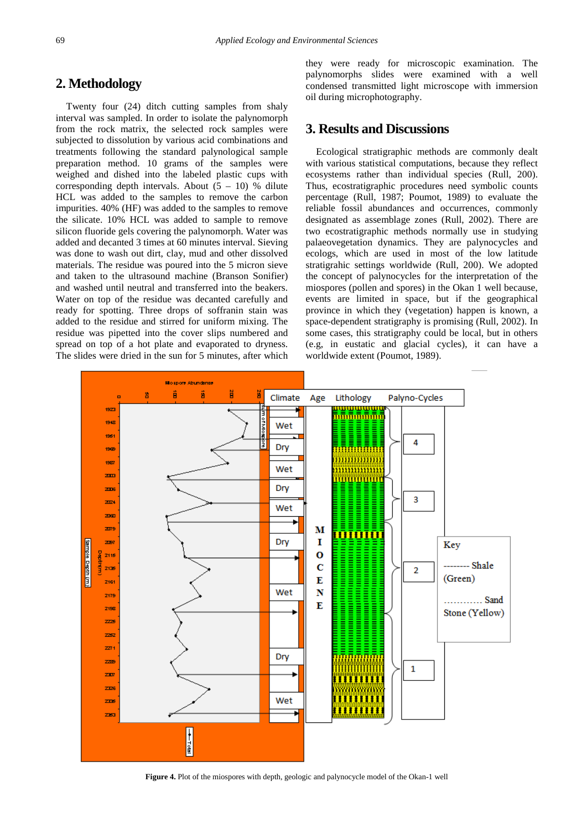# **2. Methodology**

Twenty four (24) ditch cutting samples from shaly interval was sampled. In order to isolate the palynomorph from the rock matrix, the selected rock samples were subjected to dissolution by various acid combinations and treatments following the standard palynological sample preparation method. 10 grams of the samples were weighed and dished into the labeled plastic cups with corresponding depth intervals. About  $(5 - 10)$  % dilute HCL was added to the samples to remove the carbon impurities. 40% (HF) was added to the samples to remove the silicate. 10% HCL was added to sample to remove silicon fluoride gels covering the palynomorph. Water was added and decanted 3 times at 60 minutes interval. Sieving was done to wash out dirt, clay, mud and other dissolved materials. The residue was poured into the 5 micron sieve and taken to the ultrasound machine (Branson Sonifier) and washed until neutral and transferred into the beakers. Water on top of the residue was decanted carefully and ready for spotting. Three drops of soffranin stain was added to the residue and stirred for uniform mixing. The residue was pipetted into the cover slips numbered and spread on top of a hot plate and evaporated to dryness. The slides were dried in the sun for 5 minutes, after which

they were ready for microscopic examination. The palynomorphs slides were examined with a well condensed transmitted light microscope with immersion oil during microphotography.

# **3. Results and Discussions**

Ecological stratigraphic methods are commonly dealt with various statistical computations, because they reflect ecosystems rather than individual species (Rull, 200). Thus, ecostratigraphic procedures need symbolic counts percentage (Rull, 1987; Poumot, 1989) to evaluate the reliable fossil abundances and occurrences, commonly designated as assemblage zones (Rull, 2002). There are two ecostratigraphic methods normally use in studying palaeovegetation dynamics. They are palynocycles and ecologs, which are used in most of the low latitude stratigrahic settings worldwide (Rull, 200). We adopted the concept of palynocycles for the interpretation of the miospores (pollen and spores) in the Okan 1 well because, events are limited in space, but if the geographical province in which they (vegetation) happen is known, a space-dependent stratigraphy is promising (Rull, 2002). In some cases, this stratigraphy could be local, but in others (e.g, in eustatic and glacial cycles), it can have a worldwide extent (Poumot, 1989).

<span id="page-3-0"></span>

**Figure 4.** Plot of the miospores with depth, geologic and palynocycle model of the Okan-1 well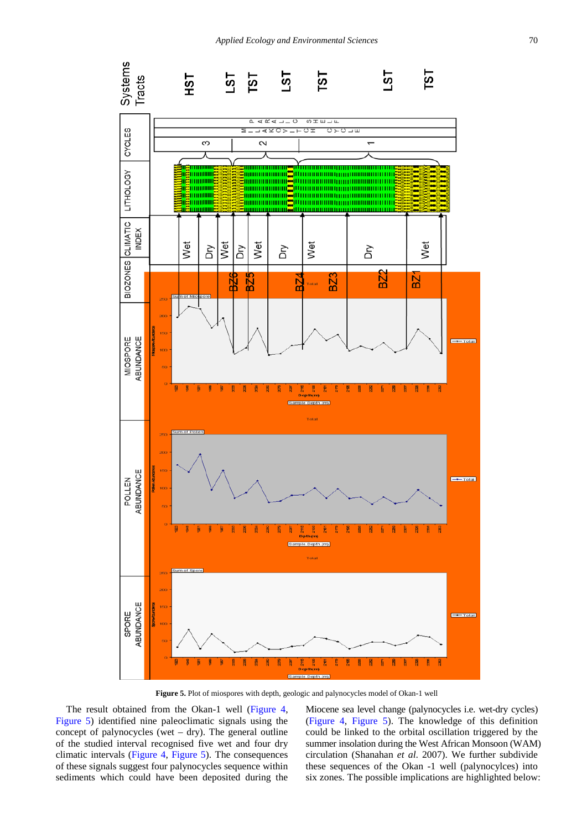<span id="page-4-0"></span>

**Figure 5.** Plot of miospores with depth, geologic and palynocycles model of Okan-1 well

The result obtained from the Okan-1 well [\(Figure 4,](#page-3-0) [Figure 5\)](#page-4-0) identified nine paleoclimatic signals using the concept of palynocycles (wet  $-$  dry). The general outline of the studied interval recognised five wet and four dry climatic intervals [\(Figure 4,](#page-3-0) [Figure 5\)](#page-4-0). The consequences of these signals suggest four palynocycles sequence within sediments which could have been deposited during the

Miocene sea level change (palynocycles i.e. wet-dry cycles) [\(Figure](#page-3-0) 4, [Figure 5\)](#page-4-0). The knowledge of this definition could be linked to the orbital oscillation triggered by the summer insolation during the West African Monsoon (WAM) circulation (Shanahan *et al*. 2007). We further subdivide these sequences of the Okan -1 well (palynocylces) into six zones. The possible implications are highlighted below: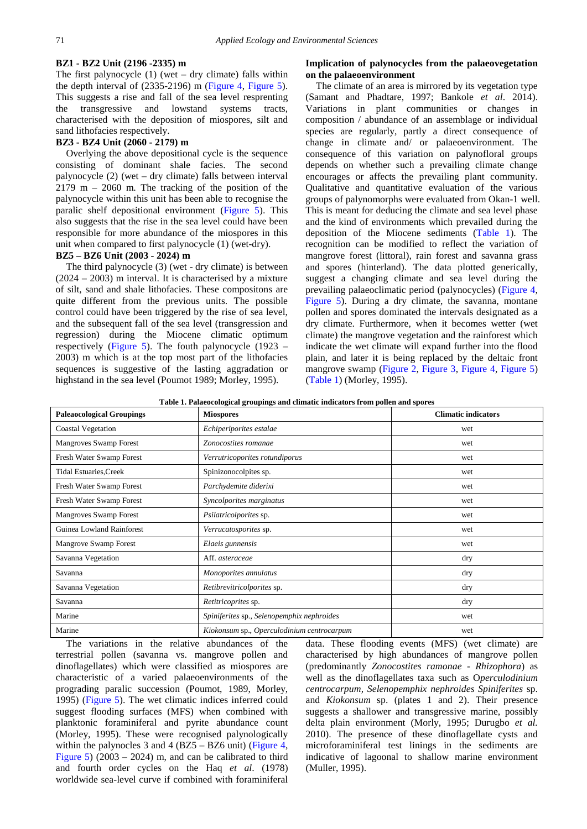### **BZ1 - BZ2 Unit (2196 -2335) m**

The first palynocycle  $(1)$  (wet – dry climate) falls within the depth interval of (2335-2196) m [\(Figure 4,](#page-3-0) [Figure 5\)](#page-4-0). This suggests a rise and fall of the sea level resprenting the transgressive and lowstand systems tracts, characterised with the deposition of miospores, silt and sand lithofacies respectively.

### **BZ3 - BZ4 Unit (2060 - 2179) m**

Overlying the above depositional cycle is the sequence consisting of dominant shale facies. The second palynocycle (2) (wet – dry climate) falls between interval  $2179$  m  $-$  2060 m. The tracking of the position of the palynocycle within this unit has been able to recognise the paralic shelf depositional environment [\(Figure 5\)](#page-4-0). This also suggests that the rise in the sea level could have been responsible for more abundance of the miospores in this unit when compared to first palynocycle (1) (wet-dry).

### **BZ5 – BZ6 Unit (2003 - 2024) m**

The third palynocycle (3) (wet - dry climate) is between (2024 – 2003) m interval. It is characterised by a mixture of silt, sand and shale lithofacies. These compositons are quite different from the previous units. The possible control could have been triggered by the rise of sea level, and the subsequent fall of the sea level (transgression and regression) during the Miocene climatic optimum respectively [\(Figure 5\)](#page-4-0). The fouth palynocycle (1923 – 2003) m which is at the top most part of the lithofacies sequences is suggestive of the lasting aggradation or highstand in the sea level (Poumot 1989; Morley, 1995).

### **Implication of palynocycles from the palaeovegetation on the palaeoenvironment**

The climate of an area is mirrored by its vegetation type (Samant and Phadtare, 1997; Bankole *et al*. 2014). Variations in plant communities or changes in composition / abundance of an assemblage or individual species are regularly, partly a direct consequence of change in climate and/ or palaeoenvironment. The consequence of this variation on palynofloral groups depends on whether such a prevailing climate change encourages or affects the prevailing plant community. Qualitative and quantitative evaluation of the various groups of palynomorphs were evaluated from Okan-1 well. This is meant for deducing the climate and sea level phase and the kind of environments which prevailed during the deposition of the Miocene sediments [\(Table 1\)](#page-5-0). The recognition can be modified to reflect the variation of mangrove forest (littoral), rain forest and savanna grass and spores (hinterland). The data plotted generically, suggest a changing climate and sea level during the prevailing palaeoclimatic period (palynocycles) [\(Figure 4,](#page-3-0) [Figure 5\)](#page-4-0). During a dry climate, the savanna, montane pollen and spores dominated the intervals designated as a dry climate. Furthermore, when it becomes wetter (wet climate) the mangrove vegetation and the rainforest which indicate the wet climate will expand further into the flood plain, and later it is being replaced by the deltaic front mangrove swamp [\(Figure 2,](#page-2-0) [Figure 3,](#page-2-1) [Figure 4,](#page-3-0) [Figure 5\)](#page-4-0) [\(Table 1\)](#page-5-0) (Morley, 1995).

**Table 1. Palaeocological groupings and climatic indicators from pollen and spores**

<span id="page-5-0"></span>

| <b>Paleaocological Groupings</b> | rabie 111 anicocological groupings and emiliate mulcators from policir and sports<br><b>Miospores</b> | <b>Climatic indicators</b> |
|----------------------------------|-------------------------------------------------------------------------------------------------------|----------------------------|
| <b>Coastal Vegetation</b>        | Echiperiporites estalae                                                                               | wet                        |
| <b>Mangroves Swamp Forest</b>    | Zonocostites romanae                                                                                  | wet                        |
| Fresh Water Swamp Forest         | Verrutricoporites rotundiporus                                                                        | wet                        |
| <b>Tidal Estuaries, Creek</b>    | Spinizonocolpites sp.                                                                                 | wet                        |
| Fresh Water Swamp Forest         | Parchydemite diderixi                                                                                 | wet                        |
| Fresh Water Swamp Forest         | Syncolporites marginatus                                                                              | wet                        |
| Mangroves Swamp Forest           | Psilatricolporites sp.                                                                                | wet                        |
| Guinea Lowland Rainforest        | Verrucatosporites sp.                                                                                 | wet                        |
| Mangrove Swamp Forest            | Elaeis gunnensis                                                                                      | wet                        |
| Savanna Vegetation               | Aff. asteraceae                                                                                       | dry                        |
| Savanna                          | Monoporites annulatus                                                                                 | dry                        |
| Savanna Vegetation               | Retibrevitricolporites sp.                                                                            | dry                        |
| Savanna                          | Retitricoprites sp.                                                                                   | dry                        |
| Marine                           | Spiniferites sp., Selenopemphix nephroides                                                            | wet                        |
| Marine                           | Kiokonsum sp., Operculodinium centrocarpum                                                            | wet                        |

The variations in the relative abundances of the terrestrial pollen (savanna vs. mangrove pollen and dinoflagellates) which were classified as miospores are characteristic of a varied palaeoenvironments of the prograding paralic succession (Poumot, 1989, Morley, 1995) [\(Figure 5\)](#page-4-0). The wet climatic indices inferred could suggest flooding surfaces (MFS) when combined with planktonic foraminiferal and pyrite abundance count (Morley, 1995). These were recognised palynologically within the palynocles 3 and 4 (BZ5 – BZ6 unit) [\(Figure 4,](#page-3-0) [Figure 5\)](#page-4-0) (2003 – 2024) m, and can be calibrated to third and fourth order cycles on the Haq *et al*. (1978) worldwide sea-level curve if combined with foraminiferal

data. These flooding events (MFS) (wet climate) are characterised by high abundances of mangrove pollen (predominantly *Zonocostites ramonae - Rhizophora*) as well as the dinoflagellates taxa such as O*perculodinium centrocarpum, Selenopemphix nephroides Spiniferites* sp. and *Kiokonsum* sp. (plates 1 and 2). Their presence suggests a shallower and transgressive marine, possibly delta plain environment (Morly, 1995; Durugbo *et al.* 2010). The presence of these dinoflagellate cysts and microforaminiferal test linings in the sediments are indicative of lagoonal to shallow marine environment (Muller, 1995).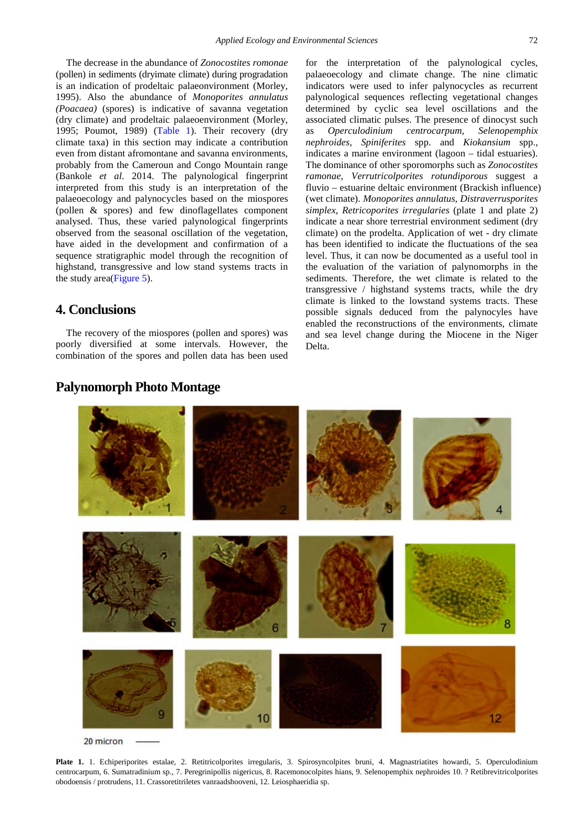The decrease in the abundance of *Zonocostites romonae*  (pollen) in sediments (dryimate climate) during progradation is an indication of prodeltaic palaeonvironment (Morley, 1995). Also the abundance of *Monoporites annulatus (Poacaea)* (spores) is indicative of savanna vegetation (dry climate) and prodeltaic palaeoenvironment (Morley, 1995; Poumot, 1989) [\(Table 1\)](#page-5-0). Their recovery (dry climate taxa) in this section may indicate a contribution even from distant afromontane and savanna environments, probably from the Cameroun and Congo Mountain range (Bankole *et al*. 2014. The palynological fingerprint interpreted from this study is an interpretation of the palaeoecology and palynocycles based on the miospores (pollen & spores) and few dinoflagellates component analysed. Thus, these varied palynological fingerprints observed from the seasonal oscillation of the vegetation, have aided in the development and confirmation of a sequence stratigraphic model through the recognition of highstand, transgressive and low stand systems tracts in the study area[\(Figure 5\)](#page-4-0).

# **4. Conclusions**

The recovery of the miospores (pollen and spores) was poorly diversified at some intervals. However, the combination of the spores and pollen data has been used for the interpretation of the palynological cycles, palaeoecology and climate change. The nine climatic indicators were used to infer palynocycles as recurrent palynological sequences reflecting vegetational changes determined by cyclic sea level oscillations and the associated climatic pulses. The presence of dinocyst such as *Operculodinium centrocarpum, Selenopemphix nephroides, Spiniferites* spp. and *Kiokansium* spp., indicates a marine environment (lagoon – tidal estuaries). The dominance of other sporomorphs such as *Zonocostites ramonae*, *Verrutricolporites rotundiporous* suggest a fluvio – estuarine deltaic environment (Brackish influence) (wet climate). *Monoporites annulatus*, *Distraverrusporites simplex*, *Retricoporites irregularies* (plate 1 and plate 2) indicate a near shore terrestrial environment sediment (dry climate) on the prodelta. Application of wet - dry climate has been identified to indicate the fluctuations of the sea level. Thus, it can now be documented as a useful tool in the evaluation of the variation of palynomorphs in the sediments. Therefore, the wet climate is related to the transgressive / highstand systems tracts, while the dry climate is linked to the lowstand systems tracts. These possible signals deduced from the palynocyles have enabled the reconstructions of the environments, climate and sea level change during the Miocene in the Niger Delta.

# 20 micron

# **Palynomorph Photo Montage**

Plate 1. 1. Echiperiporites estalae, 2. Retitricolporites irregularis, 3. Spirosyncolpites bruni, 4. Magnastriatites howardi, 5. Operculodinium centrocarpum, 6. Sumatradinium sp., 7. Peregrinipollis nigericus, 8. Racemonocolpites hians, 9. Selenopemphix nephroides 10. ? Retibrevitricolporites obodoensis / protrudens, 11. Crassoretitriletes vanraadshooveni, 12. Leiosphaeridia sp.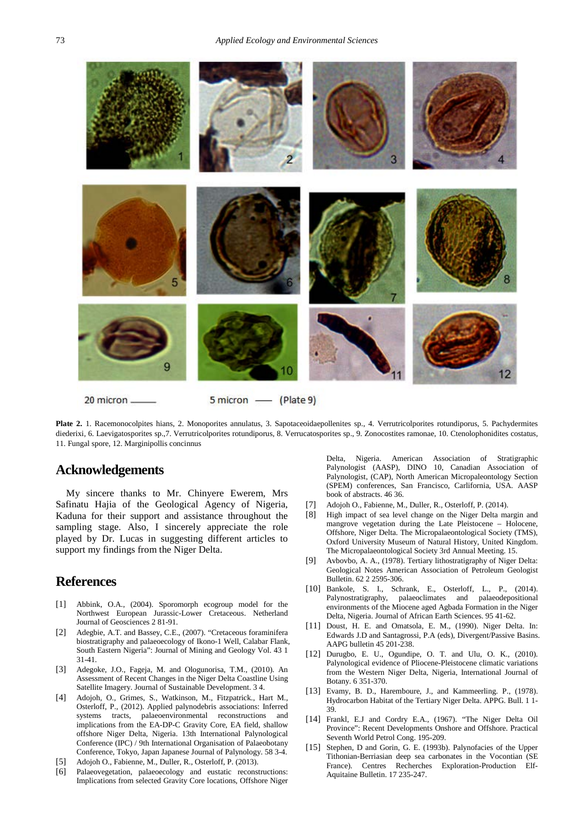

**Plate 2.** 1. Racemonocolpites hians, 2. Monoporites annulatus, 3. Sapotaceoidaepollenites sp., 4. Verrutricolporites rotundiporus, 5. Pachydermites diederixi, 6. Laevigatosporites sp.,7. Verrutricolporites rotundiporus, 8. Verrucatosporites sp., 9. Zonocostites ramonae, 10. Ctenolophonidites costatus, 11. Fungal spore, 12. Marginipollis concinnus

# **Acknowledgements**

My sincere thanks to Mr. Chinyere Ewerem, Mrs Safinatu Hajia of the Geological Agency of Nigeria, Kaduna for their support and assistance throughout the sampling stage. Also, I sincerely appreciate the role played by Dr. Lucas in suggesting different articles to support my findings from the Niger Delta.

## **References**

- [1] Abbink, O.A., (2004). Sporomorph ecogroup model for the Northwest European Jurassic-Lower Cretaceous. Netherland Journal of Geosciences 2 81-91.
- [2] Adegbie, A.T. and Bassey, C.E., (2007). "Cretaceous foraminifera biostratigraphy and palaeoecology of Ikono-1 Well, Calabar Flank, South Eastern Nigeria": Journal of Mining and Geology Vol. 43 1 31-41.
- [3] Adegoke, J.O., Fageja, M. and Ologunorisa, T.M., (2010). An Assessment of Recent Changes in the Niger Delta Coastline Using Satellite Imagery. Journal of Sustainable Development. 3 4.
- [4] Adojoh, O., Grimes, S., Watkinson, M., Fitzpatrick., Hart M., Osterloff, P., (2012). Applied palynodebris associations: Inferred systems tracts, palaeoenvironmental reconstructions and implications from the EA-DP-C Gravity Core, EA field, shallow offshore Niger Delta, Nigeria. 13th International Palynological Conference (IPC) / 9th International Organisation of Palaeobotany Conference, Tokyo, Japan Japanese Journal of Palynology. 58 3-4.
- [5] Adojoh O., Fabienne, M., Duller, R., Osterloff, P. (2013).
- [6] Palaeovegetation, palaeoecology and eustatic reconstructions: Implications from selected Gravity Core locations, Offshore Niger

Delta, Nigeria. American Association of Stratigraphic Palynologist (AASP), DINO 10, Canadian Association of Palynologist, (CAP), North American Micropaleontology Section (SPEM) conferences, San Francisco, Carlifornia, USA. AASP book of abstracts. 46 36.

- [7] Adojoh O., Fabienne, M., Duller, R., Osterloff, P. (2014).
- [8] High impact of sea level change on the Niger Delta margin and mangrove vegetation during the Late Pleistocene – Holocene, Offshore, Niger Delta. The Micropalaeontological Society (TMS), Oxford University Museum of Natural History, United Kingdom. The Micropalaeontological Society 3rd Annual Meeting. 15.
- [9] Avbovbo, A. A., (1978). Tertiary lithostratigraphy of Niger Delta: Geological Notes American Association of Petroleum Geologist Bulletin. 62 2 2595-306.
- [10] Bankole, S. I., Schrank, E., Osterloff, L., P., (2014). Palynostratigraphy, palaeoclimates and palaeodepositional environments of the Miocene aged Agbada Formation in the Niger Delta, Nigeria. Journal of African Earth Sciences. 95 41-62.
- [11] Doust, H. E. and Omatsola, E. M., (1990). Niger Delta. In: Edwards J.D and Santagrossi, P.A (eds), Divergent/Passive Basins. AAPG bulletin 45 201-238.
- [12] Durugbo, E. U., Ogundipe, O. T. and Ulu, O. K., (2010). Palynological evidence of Pliocene-Pleistocene climatic variations from the Western Niger Delta, Nigeria, International Journal of Botany. 6 351-370.
- [13] Evamy, B. D., Haremboure, J., and Kammeerling. P., (1978). Hydrocarbon Habitat of the Tertiary Niger Delta. APPG. Bull. 1 1- 39.
- [14] Frankl, E.J and Cordry E.A., (1967). "The Niger Delta Oil Province": Recent Developments Onshore and Offshore. Practical Seventh World Petrol Cong. 195-209.
- [15] Stephen, D and Gorin, G. E. (1993b). Palynofacies of the Upper Tithonian-Berriasian deep sea carbonates in the Vocontian (SE France). Centres Recherches Exploration-Production Elf-Aquitaine Bulletin. 17 235-247.